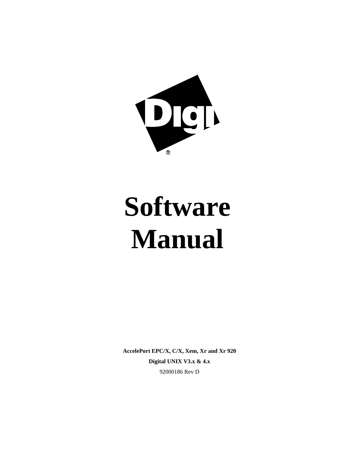

# **Software Manual**

**AccelePort EPC/X, C/X, Xem, Xr and Xr 920 Digital UNIX V3.x & 4.x** 92000186 Rev D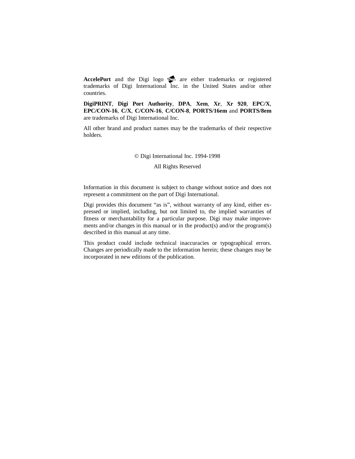AccelePort and the Digi logo **po** are either trademarks or registered trademarks of Digi International Inc. in the United States and/or other countries.

**DigiPRINT**, **Digi Port Authority**, **DPA**, **Xem**, **Xr**, **Xr 920**, **EPC/X**, **EPC/CON-16**, **C/X**, **C/CON-16**, **C/CON-8**, **PORTS/16em** and **PORTS/8em** are trademarks of Digi International Inc.

All other brand and product names may be the trademarks of their respective holders.

#### © Digi International Inc. 1994-1998

All Rights Reserved

Information in this document is subject to change without notice and does not represent a commitment on the part of Digi International.

Digi provides this document "as is", without warranty of any kind, either expressed or implied, including, but not limited to, the implied warranties of fitness or merchantability for a particular purpose. Digi may make improvements and/or changes in this manual or in the product(s) and/or the program(s) described in this manual at any time.

This product could include technical inaccuracies or typographical errors. Changes are periodically made to the information herein; these changes may be incorporated in new editions of the publication.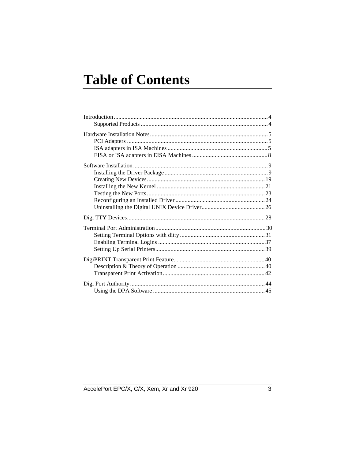# **Table of Contents**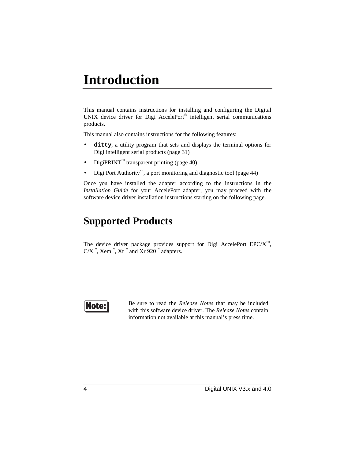# **Introduction**

This manual contains instructions for installing and configuring the Digital UNIX device driver for Digi AccelePort® intelligent serial communications products.

This manual also contains instructions for the following features:

- **ditty**, a utility program that sets and displays the terminal options for Digi intelligent serial products (page 31)
- DigiPRINT<sup>™</sup> transparent printing (page 40)
- Digi Port Authority™, a port monitoring and diagnostic tool (page 44)

Once you have installed the adapter according to the instructions in the *Installation Guide* for your AccelePort adapter, you may proceed with the software device driver installation instructions starting on the following page.

### **Supported Products**

The device driver package provides support for Digi AccelePort EPC/ $X^M$ ,  $C/X^{\mathbb{N}},$  Xem<sup>™</sup>, Xr<sup>™</sup> and Xr 920<sup>™</sup> adapters.

### Note

Be sure to read the *Release Notes* that may be included with this software device driver. The *Release Notes* contain information not available at this manual's press time.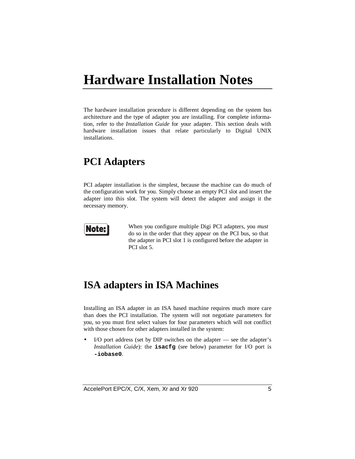# **Hardware Installation Notes**

The hardware installation procedure is different depending on the system bus architecture and the type of adapter you are installing. For complete information, refer to the *Installation Guide* for your adapter. This section deals with hardware installation issues that relate particularly to Digital UNIX installations.

### **PCI Adapters**

PCI adapter installation is the simplest, because the machine can do much of the configuration work for you. Simply choose an empty PCI slot and insert the adapter into this slot. The system will detect the adapter and assign it the necessary memory.



When you configure multiple Digi PCI adapters, you *must* do so in the order that they appear on the PCI bus, so that the adapter in PCI slot 1 is configured before the adapter in PCI slot 5.

### **ISA adapters in ISA Machines**

Installing an ISA adapter in an ISA based machine requires much more care than does the PCI installation. The system will not negotiate parameters for you, so you must first select values for four parameters which will not conflict with those chosen for other adapters installed in the system:

• I/O port address (set by DIP switches on the adapter — see the adapter's *Installation Guide*): the **isacfg** (see below) parameter for I/O port is **-iobase0**.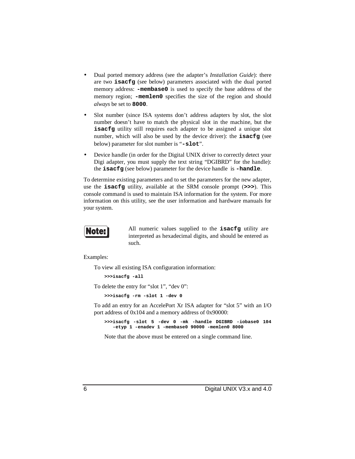- Dual ported memory address (see the adapter's *Installation Guide*): there are two **isacfg** (see below) parameters associated with the dual ported memory address: **-membase0** is used to specify the base address of the memory region; **-memlen0** specifies the size of the region and should *always* be set to **8000**.
- Slot number (since ISA systems don't address adapters by slot, the slot number doesn't have to match the physical slot in the machine, but the **isacfg** utility still requires each adapter to be assigned a unique slot number, which will also be used by the device driver): the **isacfg** (see below) parameter for slot number is "**-slot**".
- Device handle (in order for the Digital UNIX driver to correctly detect your Digi adapter, you must supply the text string "DGIBRD" for the handle): the **isacfg** (see below) parameter for the device handle is **-handle**.

To determine existing parameters and to set the parameters for the new adapter, use the **isacfg** utility, available at the SRM console prompt (**>>>**). This console command is used to maintain ISA information for the system. For more information on this utility, see the user information and hardware manuals for your system.



All numeric values supplied to the **isacfg** utility are interpreted as hexadecimal digits, and should be entered as such.

Examples:

To view all existing ISA configuration information:

**>>>isacfg -all**

To delete the entry for "slot 1", "dev 0":

**>>>isacfg -rm -slot 1 -dev 0**

To add an entry for an AccelePort Xr ISA adapter for "slot 5" with an I/O port address of 0x104 and a memory address of 0x90000:

**>>>isacfg -slot 5 -dev 0 -mk -handle DGIBRD -iobase0 104 -etyp 1 -enadev 1 -membase0 90000 -memlen0 8000**

Note that the above must be entered on a single command line.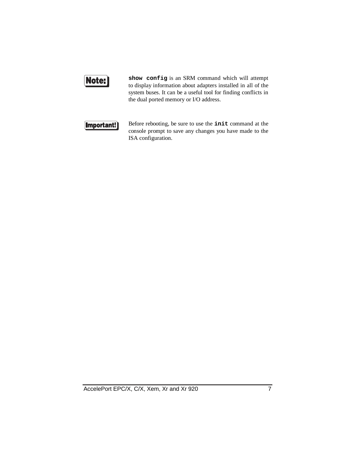### Note:

**show config** is an SRM command which will attempt to display information about adapters installed in all of the system buses. It can be a useful tool for finding conflicts in the dual ported memory or I/O address.

#### [Important!]

Before rebooting, be sure to use the **init** command at the console prompt to save any changes you have made to the ISA configuration.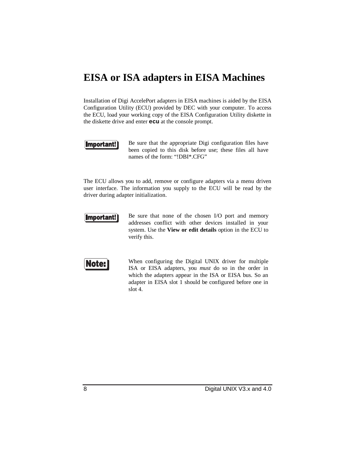### **EISA or ISA adapters in EISA Machines**

Installation of Digi AccelePort adapters in EISA machines is aided by the EISA Configuration Utility (ECU) provided by DEC with your computer. To access the ECU, load your working copy of the EISA Configuration Utility diskette in the diskette drive and enter **ecu** at the console prompt.

#### Important!

Be sure that the appropriate Digi configuration files have been copied to this disk before use; these files all have names of the form: "!DBI\*.CFG"

The ECU allows you to add, remove or configure adapters via a menu driven user interface. The information you supply to the ECU will be read by the driver during adapter initialization.



Be sure that none of the chosen I/O port and memory addresses conflict with other devices installed in your system. Use the **View or edit details** option in the ECU to verify this.



When configuring the Digital UNIX driver for multiple ISA or EISA adapters, you *must* do so in the order in which the adapters appear in the ISA or EISA bus. So an adapter in EISA slot 1 should be configured before one in slot 4.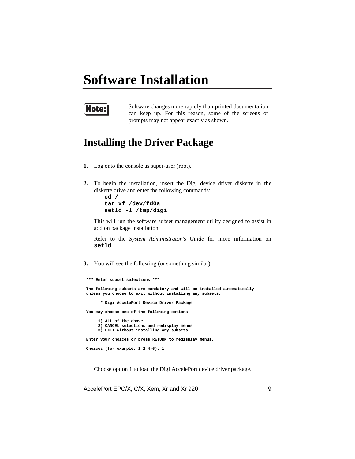## **Software Installation**



Software changes more rapidly than printed documentation can keep up. For this reason, some of the screens or prompts may not appear exactly as shown.

### **Installing the Driver Package**

- **1.** Log onto the console as super-user (root).
- **2.** To begin the installation, insert the Digi device driver diskette in the diskette drive and enter the following commands:

**cd / tar xf /dev/fd0a setld -l /tmp/digi**

This will run the software subset management utility designed to assist in add on package installation.

Refer to the *System Administrator's Guide* for more information on **setld**.

**3.** You will see the following (or something similar):

```
*** Enter subset selections ***
The following subsets are mandatory and will be installed automatically
unless you choose to exit without installing any subsets:
       * Digi AccelePort Device Driver Package
You may choose one of the following options:
      1) ALL of the above
      2) CANCEL selections and redisplay menus
      3) EXIT without installing any subsets
Enter your choices or press RETURN to redisplay menus.
Choices (for example, 1 2 4-6): 1
```
Choose option 1 to load the Digi AccelePort device driver package.

AccelePort EPC/X, C/X, Xem, Xr and Xr 920 9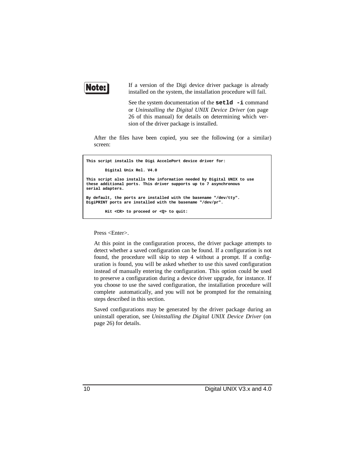

If a version of the Digi device driver package is already installed on the system, the installation procedure will fail.

See the system documentation of the **setld -i** command or *Uninstalling the Digital UNIX Device Driver* (on page 26 of this manual) for details on determining which version of the driver package is installed.

After the files have been copied, you see the following (or a similar) screen:

```
This script installs the Digi AccelePort device driver for:
         Digital Unix Rel. V4.0
This script also installs the information needed by Digital UNIX to use
these additional ports. This driver supports up to 7 asynchronous
serial adapters.
By default, the ports are installed with the basename "/dev/tty".
DigiPRINT ports are installed with the basename "/dev/pr".
         Hit <CR> to proceed or <Q> to quit:
```
Press <Enter>.

At this point in the configuration process, the driver package attempts to detect whether a saved configuration can be found. If a configuration is not found, the procedure will skip to step 4 without a prompt. If a configuration is found, you will be asked whether to use this saved configuration instead of manually entering the configuration. This option could be used to preserve a configuration during a device driver upgrade, for instance. If you choose to use the saved configuration, the installation procedure will complete automatically, and you will not be prompted for the remaining steps described in this section.

Saved configurations may be generated by the driver package during an uninstall operation, see *Uninstalling the Digital UNIX Device Driver* (on page 26) for details.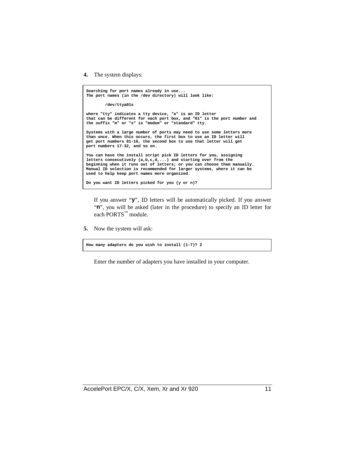**4.** The system displays:

```
Searching for port names already in use...
The port names (in the /dev directory) will look like:
         /dev/ttya01s
where "tty" indicates a tty device, "a" is an ID letter
that can be different for each port box, and "01" is the port number and
the suffix "m" or "s" is "modem" or "standard" tty.
Systems with a large number of ports may need to use some letters more
than once. When this occurs, the first box to use an ID letter will
get port numbers 01-16, the second box to use that letter will get
port numbers 17-32, and so on.
You can have the install script pick ID letters for you, assigning
letters consecutively (a,b,c,d,...) and starting over from the
beginning when it runs out of letters; or you can choose them manually.
Manual ID selection is recommended for larger systems, where it can be
used to help keep port names more organized.
Do you want ID letters picked for you (y or n)?
```
If you answer "**y**", ID letters will be automatically picked. If you answer "**n**", you will be asked (later in the procedure) to specify an ID letter for each PORTS™ module.

**5.** Now the system will ask:

**How many adapters do you wish to install (1-7)? 2**

Enter the number of adapters you have installed in your computer.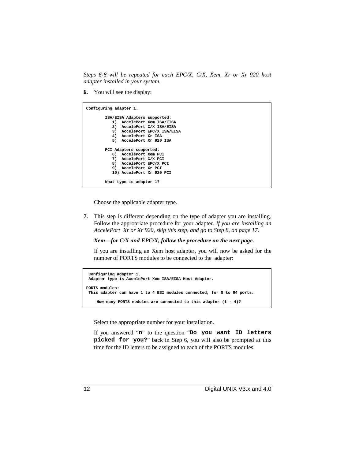*Steps 6-8 will be repeated for each EPC/X, C/X, Xem, Xr or Xr 920 host adapter installed in your system.*

**6.** You will see the display:

| Configuring adapter 1. |                              |                              |
|------------------------|------------------------------|------------------------------|
|                        | ISA/EISA Adapters supported: |                              |
|                        |                              | 1) AccelePort Xem ISA/EISA   |
|                        |                              | 2) AccelePort C/X ISA/EISA   |
|                        |                              | 3) AccelePort EPC/X ISA/EISA |
|                        | 4) AccelePort Xr ISA         |                              |
|                        | 5) AccelePort Xr 920 ISA     |                              |
|                        | PCI Adapters supported:      |                              |
|                        | 6) AccelePort Xem PCI        |                              |
|                        | 7) AccelePort C/X PCI        |                              |
|                        | 8) AccelePort EPC/X PCI      |                              |
|                        | 9) AccelePort Xr PCI         |                              |
|                        | 10) AccelePort Xr 920 PCI    |                              |
|                        | What type is adapter 1?      |                              |

Choose the applicable adapter type.

**7.** This step is different depending on the type of adapter you are installing. Follow the appropriate procedure for your adapter. *If you are installing an AccelePort Xr or Xr 920, skip this step, and go to Step 8, on page 17.*

*Xem—for C/X and EPC/X, follow the procedure on the next page.*

If you are installing an Xem host adapter, you will now be asked for the number of PORTS modules to be connected to the adapter:

```
 Configuring adapter 1.
 Adapter type is AccelePort Xem ISA/EISA Host Adapter.
PORTS modules:
 This adapter can have 1 to 4 EBI modules connected, for 8 to 64 ports.
    How many PORTS modules are connected to this adapter (1 - 4)?
```
Select the appropriate number for your installation.

If you answered "**n**" to the question "**Do you want ID letters picked for you?**" back in Step 6, you will also be prompted at this time for the ID letters to be assigned to each of the PORTS modules.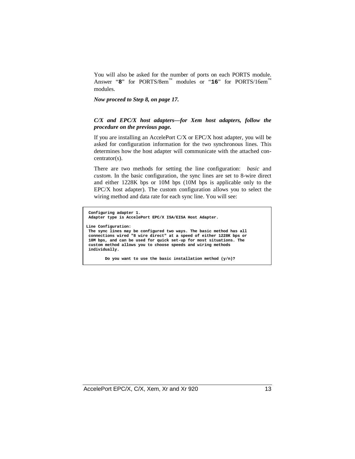You will also be asked for the number of ports on each PORTS module. Answer "8" for PORTS/8em™ modules or "16" for PORTS/16em™ modules.

*Now proceed to Step 8, on page 17.*

#### *C/X and EPC/X host adapters—for Xem host adapters, follow the procedure on the previous page.*

If you are installing an AccelePort C/X or EPC/X host adapter, you will be asked for configuration information for the two synchronous lines. This determines how the host adapter will communicate with the attached concentrator(s).

There are two methods for setting the line configuration: *basic* and *custom*. In the basic configuration, the sync lines are set to 8-wire direct and either 1228K bps or 10M bps (10M bps is applicable only to the EPC/X host adapter). The custom configuration allows you to select the wiring method and data rate for each sync line. You will see:

```
 Configuring adapter 1.
 Adapter type is AccelePort EPC/X ISA/EISA Host Adapter.
Line Configuration:
 The sync lines may be configured two ways. The basic method has all
 connections wired "8 wire direct" at a speed of either 1228K bps or
 10M bps, and can be used for quick set-up for most situations. The
 custom method allows you to choose speeds and wiring methods
 individually.
```
 **Do you want to use the basic installation method (y/n)?**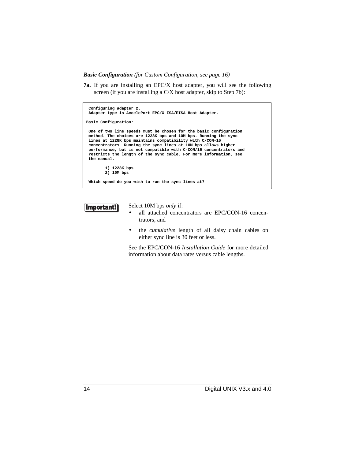*Basic Configuration (for Custom Configuration, see page 16)*

**7a.** If you are installing an EPC/X host adapter, you will see the following screen (if you are installing a C/X host adapter, skip to Step 7b):

```
 Configuring adapter 2.
 Adapter type is AccelePort EPC/X ISA/EISA Host Adapter.
Basic Configuration:
 One of two line speeds must be chosen for the basic configuration
 method. The choices are 1228K bps and 10M bps. Running the sync
 lines at 1228K bps maintains compatibility with C/CON-16
 concentrators. Running the sync lines at 10M bps allows higher
 performance, but is not compatible with C-CON/16 concentrators and
 restricts the length of the sync cable. For more information, see
 the manual.
         1) 1228K bps
         2) 10M bps
 Which speed do you wish to run the sync lines at?
```


Select 10M bps *only* if:

- all attached concentrators are EPC/CON-16 concentrators, and
- the *cumulative* length of all daisy chain cables on either sync line is 30 feet or less.

See the EPC/CON-16 *Installation Guide* for more detailed information about data rates versus cable lengths.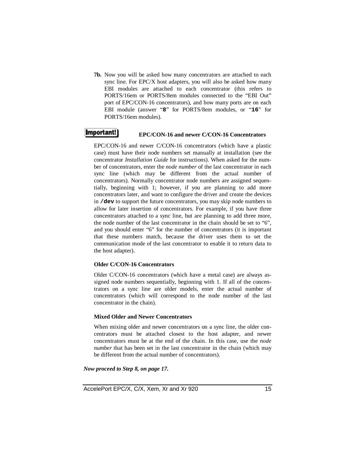**7b.** Now you will be asked how many concentrators are attached to each sync line. For EPC/X host adapters, you will also be asked how many EBI modules are attached to each concentrator (this refers to PORTS/16em or PORTS/8em modules connected to the "EBI Out" port of EPC/CON-16 concentrators), and how many ports are on each EBI module (answer "**8**" for PORTS/8em modules, or "**16**" for PORTS/16em modules).

#### **Important!)**

#### **EPC/CON-16 and newer C/CON-16 Concentrators**

EPC/CON-16 and newer C/CON-16 concentrators (which have a plastic case) must have their node numbers set manually at installation (see the concentrator *Installation Guide* for instructions). When asked for the number of concentrators, enter the *node number* of the last concentrator in each sync line (which may be different from the actual number of concentrators). Normally concentrator node numbers are assigned sequentially, beginning with 1; however, if you are planning to add more concentrators later, and want to configure the driver and create the devices in **/dev** to support the future concentrators, you may skip node numbers to allow for later insertion of concentrators. For example, if you have three concentrators attached to a sync line, but are planning to add three more, the node number of the last concentrator in the chain should be set to "6", and you should enter "6" for the number of concentrators (it is important that these numbers match, because the driver uses them to set the communication mode of the last concentrator to enable it to return data to the host adapter).

#### **Older C/CON-16 Concentrators**

Older C/CON-16 concentrators (which have a metal case) are always assigned node numbers sequentially, beginning with 1. If all of the concentrators on a sync line are older models, enter the actual number of concentrators (which will correspond to the node number of the last concentrator in the chain).

#### **Mixed Older and Newer Concentrators**

When mixing older and newer concentrators on a sync line, the older concentrators must be attached closest to the host adapter, and newer concentrators must be at the end of the chain. In this case, use the *node number* that has been set in the last concentrator in the chain (which may be different from the actual number of concentrators).

#### *Now proceed to Step 8, on page 17.*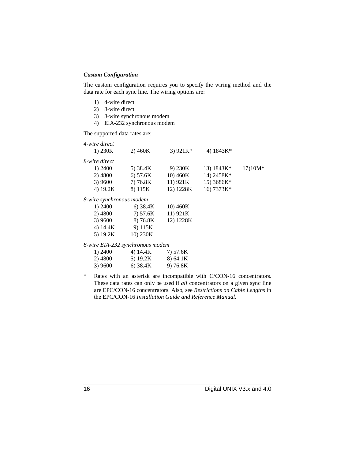#### *Custom Configuration*

The custom configuration requires you to specify the wiring method and the data rate for each sync line. The wiring options are:

- 1) 4-wire direct
- 2) 8-wire direct
- 3) 8-wire synchronous modem
- 4) EIA-232 synchronous modem

The supported data rates are:

| 4-wire direct                    |            |            |              |          |
|----------------------------------|------------|------------|--------------|----------|
| 1) $230K$                        | 2) 460K    | 3) $921K*$ | 4) $1843K*$  |          |
| 8-wire direct                    |            |            |              |          |
| 1) 2400                          | 5) 38.4K   | 9) 230K    | 13) $1843K*$ | $1710M*$ |
| 2) 4800                          | 6) 57.6K   | 10) 460K   | 14) 2458K*   |          |
| 3) 9600                          | 7) 76.8K   | 11) 921K   | 15) 3686K*   |          |
| 4) 19.2K                         | 8) 115K    | 12) 1228K  | 16) 7373K*   |          |
| 8-wire synchronous modem         |            |            |              |          |
| 1) 2400                          | $6)$ 38.4K | 10) 460K   |              |          |
| 2) 4800                          | 7) 57.6K   | 11) 921K   |              |          |
| 3)9600                           | 8) 76.8K   | 12) 1228K  |              |          |
| 4) 14.4K                         | 9) 115K    |            |              |          |
| 5) $19.2K$                       | 10) 230K   |            |              |          |
| 8-wire EIA-232 synchronous modem |            |            |              |          |

| 1) 2400 | 4) 14.4K | 7) 57.6K |
|---------|----------|----------|
| 2) 4800 | 5) 19.2K | 8) 64.1K |
| 3) 9600 | 6) 38.4K | 9) 76.8K |

\* Rates with an asterisk are incompatible with C/CON-16 concentrators. These data rates can only be used if *all* concentrators on a given sync line are EPC/CON-16 concentrators. Also, see *Restrictions on Cable Lengths* in the EPC/CON-16 *Installation Guide and Reference Manual*.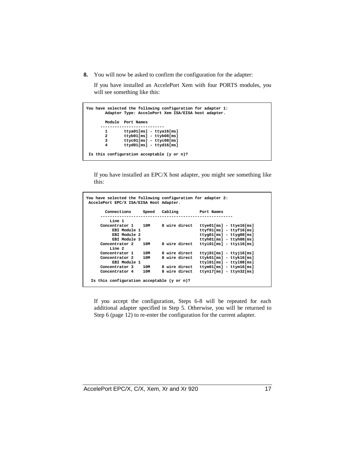**8.** You will now be asked to confirm the configuration for the adapter:

If you have installed an AccelePort Xem with four PORTS modules, you will see something like this:

|                | You have selected the following configuration for adapter 1:<br>Adapter Type: AccelePort Xem ISA/EISA host adapter. |
|----------------|---------------------------------------------------------------------------------------------------------------------|
|                | Module Port Names                                                                                                   |
| 1              | $ttya01[ms] - ttya16[ms]$                                                                                           |
| $\overline{a}$ | $t$ t $v$ b01 $\lceil ms \rceil - t$ t $v$ b08 $\lceil ms \rceil$                                                   |
| 3              | $ttyc01[ms] - ttyc08[ms]$                                                                                           |
| 4              | $ttvd01fms1 - ttvd16fms1$                                                                                           |
|                | Is this configuration acceptable $(y \text{ or } n)$ ?                                                              |

If you have installed an EPC/X host adapter, you might see something like this:

| You have selected the following configuration for adapter 2:<br>AccelePort EPC/X ISA/EISA Host Adapter. |               |                                                               |
|---------------------------------------------------------------------------------------------------------|---------------|---------------------------------------------------------------|
| Connections<br>Speed                                                                                    | Cabling       | Port Names                                                    |
| Line 1                                                                                                  |               |                                                               |
| Concentrator 1<br>10M                                                                                   | 8 wire direct | $t$ tye $01$ [ms] - $t$ tye $16$ [ms]                         |
| EBI Module 1                                                                                            |               | $ttyf01[ms] - ttyf16[ms]$                                     |
| EBI Module 2                                                                                            |               | $ttyq01[ms] - ttyq08[ms]$                                     |
| EBI Module 3                                                                                            |               | $ttyh01[ms] - ttyh08[ms]$                                     |
| Concentrator 2<br>10M                                                                                   | 8 wire direct | $ttyi01[ms] - ttyi16[ms]$                                     |
| Line 2                                                                                                  |               |                                                               |
| 10M<br>Concentrator 1                                                                                   | 8 wire direct | $\texttt{ttyj01}[\texttt{ms}] - \texttt{ttyj16}[\texttt{ms}]$ |
| 10M<br>Concentrator 2                                                                                   | 8 wire direct | $ttyk01[ms] - ttyk16[ms]$                                     |
| EBI Module 1                                                                                            |               | $tty101[ms] - tty108[ms]$                                     |
| Concentrator 3<br>10M                                                                                   | 8 wire direct | $ttym01[ms] - ttym16[ms]$                                     |
| 10M<br>Concentrator 4                                                                                   | 8 wire direct | $ttyn17[ms] - ttyn32[ms]$                                     |
| Is this configuration acceptable $(y \text{ or } n)$ ?                                                  |               |                                                               |

If you accept the configuration, Steps 6-8 will be repeated for each additional adapter specified in Step 5. Otherwise, you will be returned to Step 6 (page 12) to re-enter the configuration for the current adapter.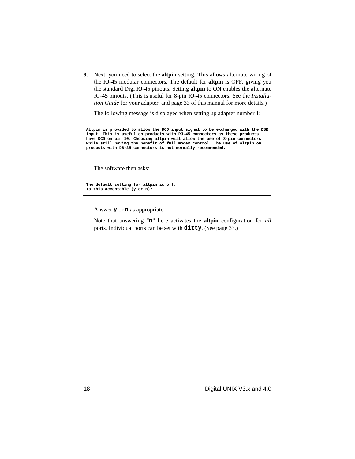**9.** Next, you need to select the **altpin** setting. This allows alternate wiring of the RJ-45 modular connectors. The default for **altpin** is OFF, giving you the standard Digi RJ-45 pinouts. Setting **altpin** to ON enables the alternate RJ-45 pinouts. (This is useful for 8-pin RJ-45 connectors. See the *Installation Guide* for your adapter, and page 33 of this manual for more details.)

The following message is displayed when setting up adapter number 1:

**Altpin is provided to allow the DCD input signal to be exchanged with the DSR input. This is useful on products with RJ-45 connectors as these products have DCD on pin 10. Choosing altpin will allow the use of 8-pin connectors while still having the benefit of full modem control. The use of altpin on products with DB-25 connectors is not normally recommended.**

The software then asks:

```
The default setting for altpin is off.
Is this acceptable (y or n)?
```
Answer **y** or **n** as appropriate.

Note that answering "**n**" here activates the **altpin** configuration for *all* ports. Individual ports can be set with **ditty**. (See page 33.)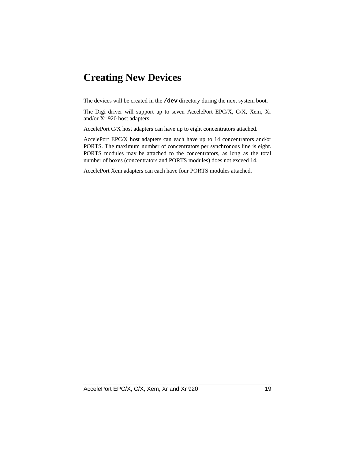### **Creating New Devices**

The devices will be created in the **/dev** directory during the next system boot.

The Digi driver will support up to seven AccelePort EPC/X, C/X, Xem, Xr and/or Xr 920 host adapters.

AccelePort C/X host adapters can have up to eight concentrators attached.

AccelePort EPC/X host adapters can each have up to 14 concentrators and/or PORTS. The maximum number of concentrators per synchronous line is eight. PORTS modules may be attached to the concentrators, as long as the total number of boxes (concentrators and PORTS modules) does not exceed 14.

AccelePort Xem adapters can each have four PORTS modules attached.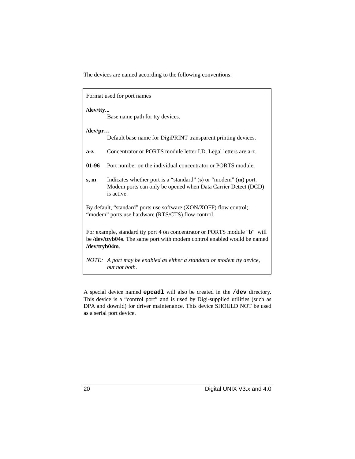The devices are named according to the following conventions:

|                                                                                                                                                                        | Format used for port names                                                                                                                     |  |  |
|------------------------------------------------------------------------------------------------------------------------------------------------------------------------|------------------------------------------------------------------------------------------------------------------------------------------------|--|--|
| /dev/tty<br>Base name path for tty devices.                                                                                                                            |                                                                                                                                                |  |  |
| $/$ dev $/$ pr                                                                                                                                                         | Default base name for DigiPRINT transparent printing devices.                                                                                  |  |  |
| $a-z$                                                                                                                                                                  | Concentrator or PORTS module letter I.D. Legal letters are a-z.                                                                                |  |  |
| 01-96                                                                                                                                                                  | Port number on the individual concentrator or PORTS module.                                                                                    |  |  |
| s, m                                                                                                                                                                   | Indicates whether port is a "standard" (s) or "modem" (m) port.<br>Modem ports can only be opened when Data Carrier Detect (DCD)<br>is active. |  |  |
| By default, "standard" ports use software (XON/XOFF) flow control;<br>"modem" ports use hardware (RTS/CTS) flow control.                                               |                                                                                                                                                |  |  |
| For example, standard tty port 4 on concentrator or PORTS module "b" will<br>be /dev/ttyb04s. The same port with modem control enabled would be named<br>/dev/ttyb04m. |                                                                                                                                                |  |  |
|                                                                                                                                                                        | NOTE: A port may be enabled as either a standard or modem tty device,<br>but not both.                                                         |  |  |

A special device named **epcadl** will also be created in the **/dev** directory. This device is a "control port" and is used by Digi-supplied utilities (such as DPA and downld) for driver maintenance. This device SHOULD NOT be used as a serial port device.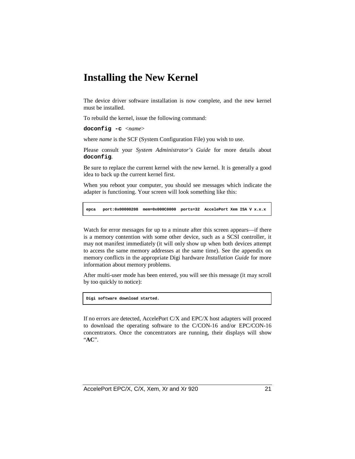### **Installing the New Kernel**

The device driver software installation is now complete, and the new kernel must be installed.

To rebuild the kernel, issue the following command:

**doconfig -c** <*name*>

where *name* is the SCF (System Configuration File) you wish to use.

Please consult your *System Administrator's Guide* for more details about **doconfig**.

Be sure to replace the current kernel with the new kernel. It is generally a good idea to back up the current kernel first.

When you reboot your computer, you should see messages which indicate the adapter is functioning. Your screen will look something like this:

**epca port:0x00000208 mem=0x000C0000 ports=32 AccelePort Xem ISA V x.x.x**

Watch for error messages for up to a minute after this screen appears—if there is a memory contention with some other device, such as a SCSI controller, it may not manifest immediately (it will only show up when both devices attempt to access the same memory addresses at the same time). See the appendix on memory conflicts in the appropriate Digi hardware *Installation Guide* for more information about memory problems.

After multi-user mode has been entered, you will see this message (it may scroll by too quickly to notice):

**Digi software download started.**

If no errors are detected, AccelePort C/X and EPC/X host adapters will proceed to download the operating software to the C/CON-16 and/or EPC/CON-16 concentrators. Once the concentrators are running, their displays will show "**AC**".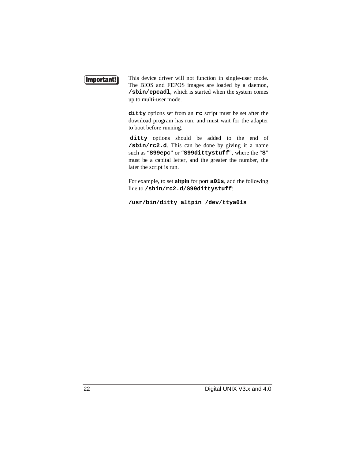#### Important!

This device driver will not function in single-user mode. The BIOS and FEPOS images are loaded by a daemon, **/sbin/epcadl**, which is started when the system comes up to multi-user mode.

**ditty** options set from an **rc** script must be set after the download program has run, and must wait for the adapter to boot before running.

**ditty** options should be added to the end of **/sbin/rc2.d**. This can be done by giving it a name such as "**S99epc**" or "**S99dittystuff**", where the "**S**" must be a capital letter, and the greater the number, the later the script is run.

For example, to set **altpin** for port **a01s**, add the following line to **/sbin/rc2.d/S99dittystuff**:

**/usr/bin/ditty altpin /dev/ttya01s**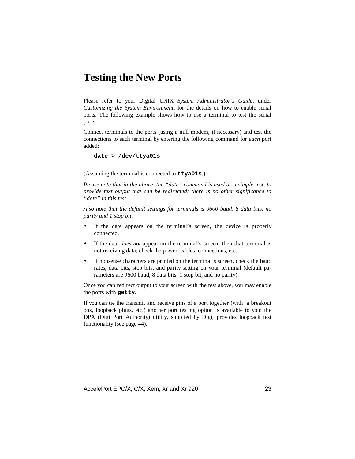### **Testing the New Ports**

Please refer to your Digital UNIX *System Administrator's Guide*, under *Customizing the System Environment*, for the details on how to enable serial ports. The following example shows how to use a terminal to test the serial ports.

Connect terminals to the ports (using a null modem, if necessary) and test the connections to each terminal by entering the following command for *each* port added:

#### **date > /dev/ttya01s**

(Assuming the terminal is connected to **ttya01s**.)

*Please note that in the above, the "date" command is used as a simple test, to provide text output that can be redirected; there is no other significance to "date" in this test.*

*Also note that the default settings for terminals is 9600 baud, 8 data bits, no parity and 1 stop bit.*

- If the date appears on the terminal's screen, the device is properly connected.
- If the date *does not* appear on the terminal's screen, then that terminal is not receiving data; check the power, cables, connections, etc.
- If nonsense characters are printed on the terminal's screen, check the baud rates, data bits, stop bits, and parity setting on your terminal (default parameters are 9600 baud, 8 data bits, 1 stop bit, and no parity).

Once you can redirect output to your screen with the test above, you may enable the ports with **getty**.

If you can tie the transmit and receive pins of a port together (with a breakout box, loopback plugs, etc.) another port testing option is available to you: the DPA (Digi Port Authority) utility, supplied by Digi, provides loopback test functionality (see page 44).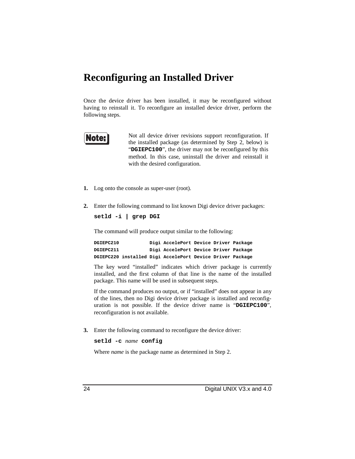### **Reconfiguring an Installed Driver**

Once the device driver has been installed, it may be reconfigured without having to reinstall it. To reconfigure an installed device driver, perform the following steps.



Not all device driver revisions support reconfiguration. If the installed package (as determined by Step 2, below) is "**DGIEPC100**", the driver may not be reconfigured by this method. In this case, uninstall the driver and reinstall it with the desired configuration.

- **1.** Log onto the console as super-user (root).
- **2.** Enter the following command to list known Digi device driver packages:

```
setld -i | grep DGI
```
The command will produce output similar to the following:

**DGIEPC210 Digi AccelePort Device Driver Package DGIEPC211 Digi AccelePort Device Driver Package DGIEPC220 installed Digi AccelePort Device Driver Package**

The key word "installed" indicates which driver package is currently installed, and the first column of that line is the name of the installed package. This name will be used in subsequent steps.

If the command produces no output, or if "installed" does not appear in any of the lines, then no Digi device driver package is installed and reconfiguration is not possible. If the device driver name is "**DGIEPC100**", reconfiguration is not available.

**3.** Enter the following command to reconfigure the device driver:

```
setld -c name config
```
Where *name* is the package name as determined in Step 2.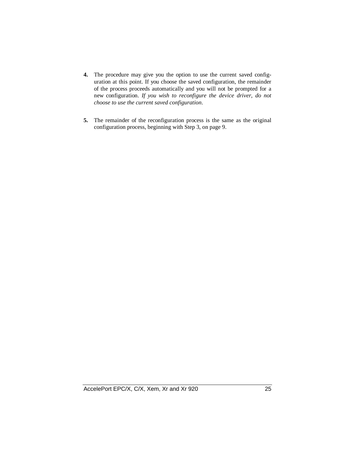- **4.** The procedure may give you the option to use the current saved configuration at this point. If you choose the saved configuration, the remainder of the process proceeds automatically and you will not be prompted for a new configuration. *If you wish to reconfigure the device driver, do not choose to use the current saved configuration*.
- **5.** The remainder of the reconfiguration process is the same as the original configuration process, beginning with Step 3, on page 9.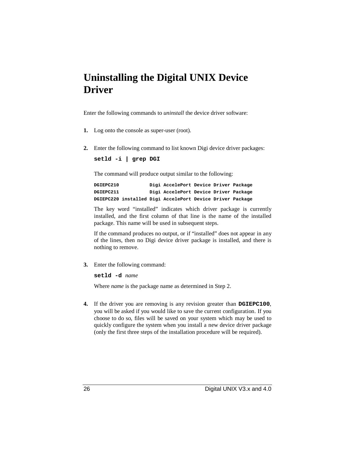### **Uninstalling the Digital UNIX Device Driver**

Enter the following commands to *uninstall* the device driver software:

- **1.** Log onto the console as super-user (root).
- **2.** Enter the following command to list known Digi device driver packages:

**setld -i | grep DGI**

The command will produce output similar to the following:

**DGIEPC210 Digi AccelePort Device Driver Package DGIEPC211 Digi AccelePort Device Driver Package DGIEPC220 installed Digi AccelePort Device Driver Package**

The key word "installed" indicates which driver package is currently installed, and the first column of that line is the name of the installed package. This name will be used in subsequent steps.

If the command produces no output, or if "installed" does not appear in any of the lines, then no Digi device driver package is installed, and there is nothing to remove.

**3.** Enter the following command:

**setld -d** *name*

Where *name* is the package name as determined in Step 2.

**4.** If the driver you are removing is any revision greater than **DGIEPC100**, you will be asked if you would like to save the current configuration. If you choose to do so, files will be saved on your system which may be used to quickly configure the system when you install a new device driver package (only the first three steps of the installation procedure will be required).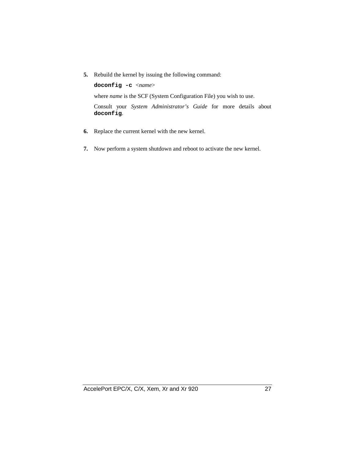**5.** Rebuild the kernel by issuing the following command:

**doconfig -c** <*name*> where *name* is the SCF (System Configuration File) you wish to use. Consult your *System Administrator's Guide* for more details about **doconfig**.

- **6.** Replace the current kernel with the new kernel.
- **7.** Now perform a system shutdown and reboot to activate the new kernel.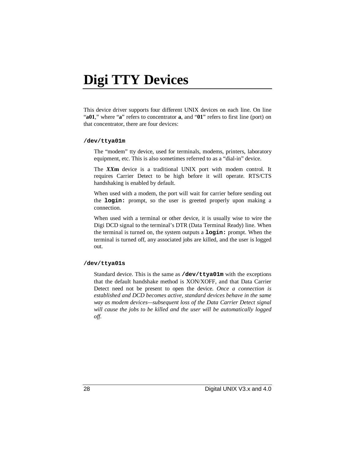# **Digi TTY Devices**

This device driver supports four different UNIX devices on each line. On line "**a01**," where "**a**" refers to concentrator **a**, and "**01**" refers to first line (port) on that concentrator, there are four devices:

#### **/dev/ttya01m**

The "modem" tty device, used for terminals, modems, printers, laboratory equipment, etc. This is also sometimes referred to as a "dial-in" device.

The *XX***m** device is a traditional UNIX port with modem control. It requires Carrier Detect to be high before it will operate. RTS/CTS handshaking is enabled by default.

When used with a modem, the port will wait for carrier before sending out the **login:** prompt, so the user is greeted properly upon making a connection.

When used with a terminal or other device, it is usually wise to wire the Digi DCD signal to the terminal's DTR (Data Terminal Ready) line. When the terminal is turned on, the system outputs a **login:** prompt. When the terminal is turned off, any associated jobs are killed, and the user is logged out.

#### **/dev/ttya01s**

Standard device. This is the same as **/dev/ttya01m** with the exceptions that the default handshake method is XON/XOFF, and that Data Carrier Detect need not be present to open the device. *Once a connection is established and DCD becomes active, standard devices behave in the same way as modem devices—subsequent loss of the Data Carrier Detect signal will cause the jobs to be killed and the user will be automatically logged off.*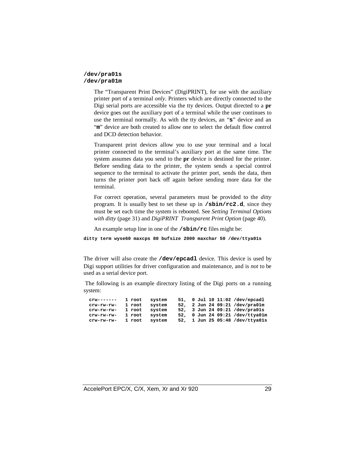#### **/dev/pra01s /dev/pra01m**

The "Transparent Print Devices" (DigiPRINT), for use with the auxiliary printer port of a terminal *only*. Printers which are directly connected to the Digi serial ports are accessible via the tty devices. Output directed to a **pr** device goes out the auxiliary port of a terminal while the user continues to use the terminal normally. As with the tty devices, an "**s**" device and an "m" device are both created to allow one to select the default flow control and DCD detection behavior.

Transparent print devices allow you to use your terminal and a local printer connected to the terminal's auxiliary port at the same time. The system assumes data you send to the **pr** device is destined for the printer. Before sending data to the printer, the system sends a special control sequence to the terminal to activate the printer port, sends the data, then turns the printer port back off again before sending more data for the terminal.

For correct operation, several parameters must be provided to the *ditty* program. It is usually best to set these up in **/sbin/rc2.d**, since they must be set each time the system is rebooted. See *Setting Terminal Options with ditty* (page 31) and *DigiPRINT Transparent Print Option* (page 40).

An example setup line in one of the **/sbin/rc** files might be:

**ditty term wyse60 maxcps 80 bufsize 2000 maxchar 50 /dev/ttya01s**

The driver will also create the **/dev/epcadl** device. This device is used by Digi support utilities for driver configuration and maintenance, and is *not* to be used as a serial device port.

 The following is an example directory listing of the Digi ports on a running system:

| $crw-----$   | 1 root | system |  |  | 51, 0 Jul 10 11:02 /dev/epcadl  |
|--------------|--------|--------|--|--|---------------------------------|
| crw-rw-rw-   | 1 root | system |  |  | 52, 2 Jun 24 09:21 /dev/pra01m  |
| crw-rw-rw-   | 1 root | system |  |  | 52, 3 Jun 24 09:21 /dev/pra01s  |
| crw-rw-rw-   | 1 root | system |  |  | 52, 0 Jun 24 09:21 /dev/ttva01m |
| $crw-rw-rw-$ | 1 root | svstem |  |  | 52, 1 Jun 25 05:48 /dev/ttya01s |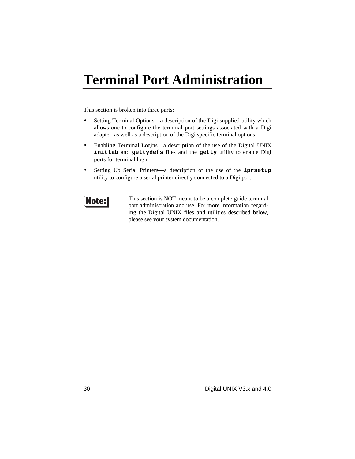# **Terminal Port Administration**

This section is broken into three parts:

- Setting Terminal Options—a description of the Digi supplied utility which allows one to configure the terminal port settings associated with a Digi adapter, as well as a description of the Digi specific terminal options
- Enabling Terminal Logins—a description of the use of the Digital UNIX **inittab** and **gettydefs** files and the **getty** utility to enable Digi ports for terminal login
- Setting Up Serial Printers—a description of the use of the **lprsetup** utility to configure a serial printer directly connected to a Digi port



This section is NOT meant to be a complete guide terminal port administration and use. For more information regarding the Digital UNIX files and utilities described below, please see your system documentation.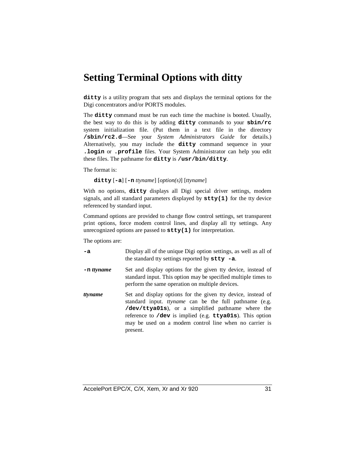### **Setting Terminal Options with ditty**

**ditty** is a utility program that sets and displays the terminal options for the Digi concentrators and/or PORTS modules.

The **ditty** command must be run each time the machine is booted. Usually, the best way to do this is by adding **ditty** commands to your **sbin/rc** system initialization file. (Put them in a text file in the directory **/sbin/rc2.d**—See your *System Administrators Guide* for details.) Alternatively, you may include the **ditty** command sequence in your **.login** or **.profile** files. Your System Administrator can help you edit these files. The pathname for **ditty** is **/usr/bin/ditty**.

The format is:

**ditty** [**-a**] [**-n** *ttyname*] [*option(s)*] [*ttyname*]

With no options, **ditty** displays all Digi special driver settings, modem signals, and all standard parameters displayed by **stty(1)** for the tty device referenced by standard input.

Command options are provided to change flow control settings, set transparent print options, force modem control lines, and display all tty settings. Any unrecognized options are passed to **stty(1)** for interpretation.

The options are:

- **-a** Display all of the unique Digi option settings, as well as all of the standard tty settings reported by **stty -a**.
- **-n** *ttyname* Set and display options for the given tty device, instead of standard input. This option may be specified multiple times to perform the same operation on multiple devices.
- *ttyname* Set and display options for the given tty device, instead of standard input. *ttyname* can be the full pathname (e.g. **/dev/ttya01s**), or a simplified pathname where the reference to **/dev** is implied (e.g. **ttya01s**). This option may be used on a modem control line when no carrier is present.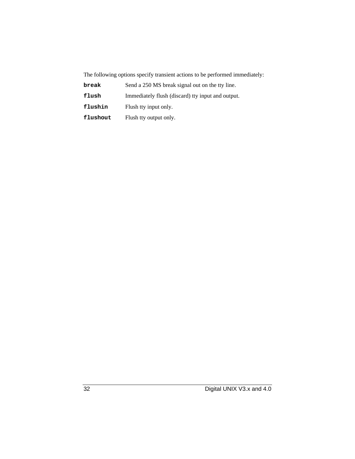The following options specify transient actions to be performed immediately:

| break    | Send a 250 MS break signal out on the tty line.   |
|----------|---------------------------------------------------|
| flush    | Immediately flush (discard) tty input and output. |
| flushin  | Flush tty input only.                             |
| flushout | Flush tty output only.                            |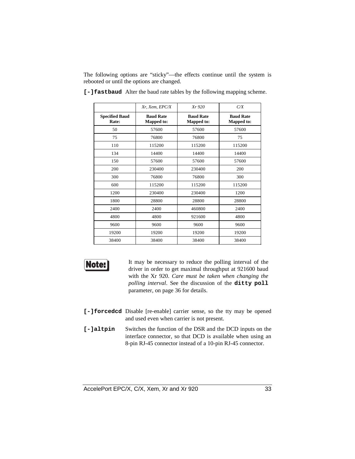The following options are "sticky"—the effects continue until the system is rebooted or until the options are changed.

|                                | Xr, Xem, EPC/X                        | Xr920                                 | C/X                                   |
|--------------------------------|---------------------------------------|---------------------------------------|---------------------------------------|
| <b>Specified Baud</b><br>Rate: | <b>Baud Rate</b><br><b>Mapped to:</b> | <b>Baud Rate</b><br><b>Mapped to:</b> | <b>Baud Rate</b><br><b>Mapped to:</b> |
| 50                             | 57600                                 | 57600                                 | 57600                                 |
| 75                             | 76800                                 | 76800                                 | 75                                    |
| 110                            | 115200                                | 115200                                | 115200                                |
| 134                            | 14400                                 | 14400                                 | 14400                                 |
| 150                            | 57600                                 | 57600                                 | 57600                                 |
| 200                            | 230400                                | 230400                                | 200                                   |
| 300                            | 76800                                 | 76800                                 | 300                                   |
| 600                            | 115200                                | 115200                                | 115200                                |
| 1200                           | 230400                                | 230400                                | 1200                                  |
| 1800                           | 28800                                 | 28800                                 | 28800                                 |
| 2400                           | 2400                                  | 460800                                | 2400                                  |
| 4800                           | 4800                                  | 921600                                | 4800                                  |
| 9600                           | 9600                                  | 9600                                  | 9600                                  |
| 19200                          | 19200                                 | 19200                                 | 19200                                 |
| 38400                          | 38400                                 | 38400                                 | 38400                                 |

**[-]fastbaud** Alter the baud rate tables by the following mapping scheme.



It may be necessary to reduce the polling interval of the driver in order to get maximal throughput at 921600 baud with the Xr 920. *Care must be taken when changing the polling interval*. See the discussion of the **ditty poll** parameter, on page 36 for details.

- **[-]forcedcd** Disable [re-enable] carrier sense, so the tty may be opened and used even when carrier is not present.
- **[-]altpin** Switches the function of the DSR and the DCD inputs on the interface connector, so that DCD is available when using an 8-pin RJ-45 connector instead of a 10-pin RJ-45 connector.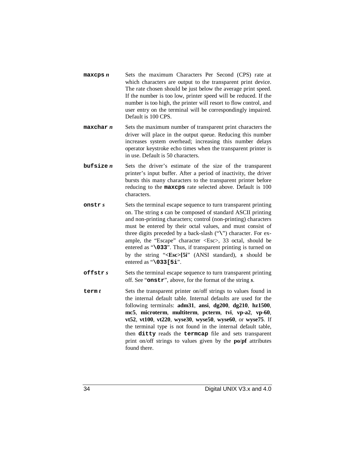- **maxcps** *n* Sets the maximum Characters Per Second (CPS) rate at which characters are output to the transparent print device. The rate chosen should be just below the average print speed. If the number is too low, printer speed will be reduced. If the number is too high, the printer will resort to flow control, and user entry on the terminal will be correspondingly impaired. Default is 100 CPS.
- **maxchar** *n* Sets the maximum number of transparent print characters the driver will place in the output queue. Reducing this number increases system overhead; increasing this number delays operator keystroke echo times when the transparent printer is in use. Default is 50 characters.
- **bufsize** *n* Sets the driver's estimate of the size of the transparent printer's input buffer. After a period of inactivity, the driver bursts this many characters to the transparent printer before reducing to the **maxcps** rate selected above. Default is 100 characters.
- **onstr** *s* Sets the terminal escape sequence to turn transparent printing on. The string *s* can be composed of standard ASCII printing and non-printing characters; control (non-printing) characters must be entered by their octal values, and must consist of three digits preceded by a back-slash ("**\**") character. For example, the "Escape" character <Esc>, 33 octal, should be entered as "**\033**". Thus, if transparent printing is turned on by the string "**<Esc>[5i**" (ANSI standard), *s* should be entered as "**\033[5i**".
- **offstr** *s* Sets the terminal escape sequence to turn transparent printing off. See "**onstr**", above, for the format of the string *s*.
- **term** *t* Sets the transparent printer on/off strings to values found in the internal default table. Internal defaults are used for the following terminals: **adm31**, **ansi**, **dg200**, **dg210**, **hz1500**, **mc5**, **microterm**, **multiterm**, **pcterm**, **tvi**, **vp-a2**, **vp-60**, **vt52**, **vt100**, **vt220**, **wyse30**, **wyse50**, **wyse60**, or **wyse75**. If the terminal type is not found in the internal default table, then **ditty** reads the **termcap** file and sets transparent print on/off strings to values given by the **po**/**pf** attributes found there.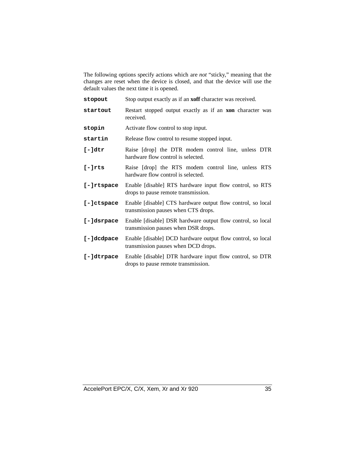The following options specify actions which are *not* "sticky," meaning that the changes are reset when the device is closed, and that the device will use the default values the next time it is opened.

| stopout          | Stop output exactly as if an <b>xoff</b> character was received.                                   |
|------------------|----------------------------------------------------------------------------------------------------|
| startout         | Restart stopped output exactly as if an <b>xon</b> character was<br>received.                      |
| stopin           | Activate flow control to stop input.                                                               |
| startin          | Release flow control to resume stopped input.                                                      |
| $[-] \text{dtr}$ | Raise [drop] the DTR modem control line, unless DTR<br>hardware flow control is selected.          |
| $[-]$ rts        | Raise [drop] the RTS modem control line, unless RTS<br>hardware flow control is selected.          |
| $[-]$ rtspace    | Enable [disable] RTS hardware input flow control, so RTS<br>drops to pause remote transmission.    |
| [-]ctspace       | Enable [disable] CTS hardware output flow control, so local<br>transmission pauses when CTS drops. |
| [-]dsrpace       | Enable [disable] DSR hardware output flow control, so local<br>transmission pauses when DSR drops. |
| [-]dcdpace       | Enable [disable] DCD hardware output flow control, so local<br>transmission pauses when DCD drops. |
| [-]dtrpace       | Enable [disable] DTR hardware input flow control, so DTR<br>drops to pause remote transmission.    |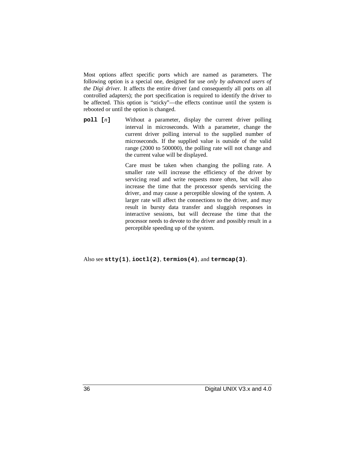Most options affect specific ports which are named as parameters. The following option is a special one, designed for use *only by advanced users of the Digi drive*r. It affects the entire driver (and consequently all ports on all controlled adapters); the port specification is required to identify the driver to be affected. This option is "sticky"—the effects continue until the system is rebooted or until the option is changed.

**poll** [*n*] Without a parameter, display the current driver polling interval in microseconds. With a parameter, change the current driver polling interval to the supplied number of microseconds. If the supplied value is outside of the valid range (2000 to 500000), the polling rate will not change and the current value will be displayed.

> Care must be taken when changing the polling rate. A smaller rate will increase the efficiency of the driver by servicing read and write requests more often, but will also increase the time that the processor spends servicing the driver, and may cause a perceptible slowing of the system. A larger rate will affect the connections to the driver, and may result in bursty data transfer and sluggish responses in interactive sessions, but will decrease the time that the processor needs to devote to the driver and possibly result in a perceptible speeding up of the system.

Also see **stty(1)**, **ioctl(2)**, **termios(4)**, and **termcap(3)**.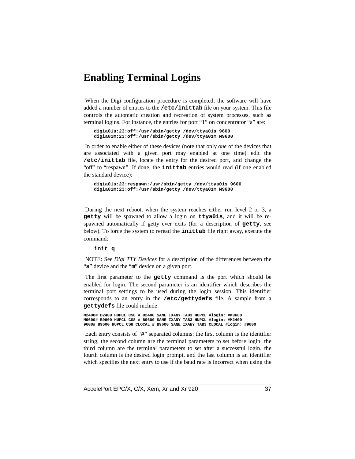### **Enabling Terminal Logins**

 When the Digi configuration procedure is completed, the software will have added a number of entries to the **/etc/inittab** file on your system. This file controls the automatic creation and recreation of system processes, such as terminal logins. For instance, the entries for port "1" on concentrator "a" are:

**digia01s:23:off:/usr/sbin/getty /dev/ttya01s 9600 digia01m:23:off:/usr/sbin/getty /dev/ttya01m M9600**

 In order to enable either of these devices (note that only *one* of the devices that are associated with a given port may enabled at one time) edit the **/etc/inittab** file, locate the entry for the desired port, and change the "off" to "respawn". If done, the **inittab** entries would read (if one enabled the standard device):

**digia01s:23:respawn:/usr/sbin/getty /dev/ttya01s 9600 digia01m:23:off:/usr/sbin/getty /dev/ttya01m M9600**

 During the next reboot, when the system reaches either run level 2 or 3, a **getty** will be spawned to allow a login on **ttya01s**, and it will be respawned automatically if getty ever exits (for a description of **getty**, see below). To force the system to reread the **inittab** file right away, execute the command:

**init q**

 NOTE: See *Digi TTY Devices* for a description of the differences between the "**s**" device and the "**m**" device on a given port.

 The first parameter to the **getty** command is the port which should be enabled for login. The second parameter is an identifier which describes the terminal port settings to be used during the login session. This identifier corresponds to an entry in the **/etc/gettydefs** file. A sample from a **gettydefs** file could include:

**M2400# B2400 HUPCL CS8 # B2400 SANE IXANY TAB3 HUPCL #login: #M9600 M9600# B9600 HUPCL CS8 # B9600 SANE IXANY TAB3 HUPCL #login: #M2400 9600# B9600 HUPCL CS8 CLOCAL # B9600 SANE IXANY TAB3 CLOCAL #login: #9600**

 Each entry consists of "**#**" separated columns: the first column is the identifier string, the second column are the terminal parameters to set before login, the third column are the terminal parameters to set after a successful login, the fourth column is the desired login prompt, and the last column is an identifier which specifies the next entry to use if the baud rate is incorrect when using the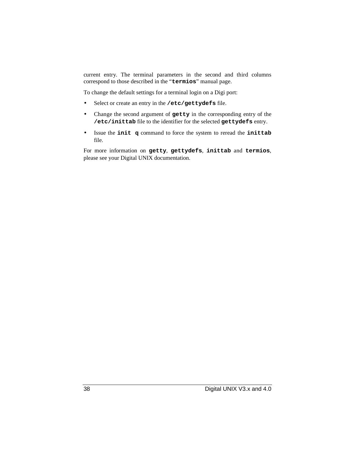current entry. The terminal parameters in the second and third columns correspond to those described in the "**termios**" manual page.

To change the default settings for a terminal login on a Digi port:

- Select or create an entry in the **/etc/gettydefs** file.
- Change the second argument of **getty** in the corresponding entry of the **/etc/inittab** file to the identifier for the selected **gettydefs** entry.
- Issue the **init q** command to force the system to reread the **inittab** file.

For more information on **getty**, **gettydefs**, **inittab** and **termios**, please see your Digital UNIX documentation.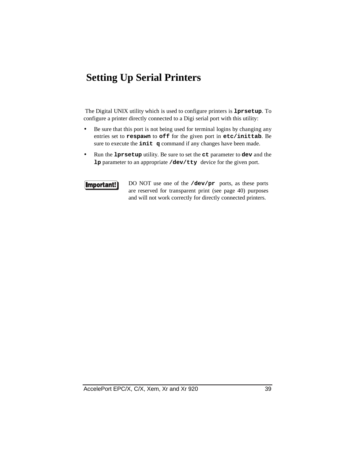### **Setting Up Serial Printers**

 The Digital UNIX utility which is used to configure printers is **lprsetup**. To configure a printer directly connected to a Digi serial port with this utility:

- Be sure that this port is not being used for terminal logins by changing any entries set to **respawn** to **off** for the given port in **etc/inittab**. Be sure to execute the **init q** command if any changes have been made.
- Run the **lprsetup** utility. Be sure to set the **ct** parameter to **dev** and the **lp** parameter to an appropriate **/dev/tty** device for the given port.

Important!

DO NOT use one of the **/dev/pr** ports, as these ports are reserved for transparent print (see page 40) purposes and will not work correctly for directly connected printers.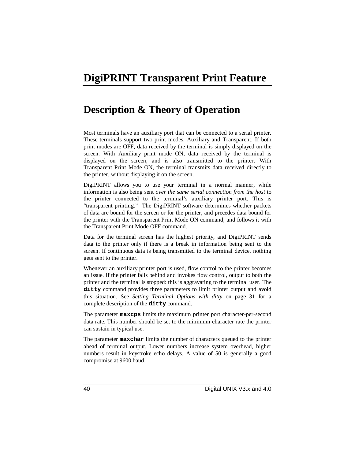### **DigiPRINT Transparent Print Feature**

### **Description & Theory of Operation**

Most terminals have an auxiliary port that can be connected to a serial printer. These terminals support two print modes, Auxiliary and Transparent. If both print modes are OFF, data received by the terminal is simply displayed on the screen. With Auxiliary print mode ON, data received by the terminal is displayed on the screen, and is also transmitted to the printer. With Transparent Print Mode ON, the terminal transmits data received directly to the printer, without displaying it on the screen.

DigiPRINT allows you to use your terminal in a normal manner, while information is also being sent *over the same serial connection from the host* to the printer connected to the terminal's auxiliary printer port. This is "transparent printing." The DigiPRINT software determines whether packets of data are bound for the screen or for the printer, and precedes data bound for the printer with the Transparent Print Mode ON command, and follows it with the Transparent Print Mode OFF command.

Data for the terminal screen has the highest priority, and DigiPRINT sends data to the printer only if there is a break in information being sent to the screen. If continuous data is being transmitted to the terminal device, nothing gets sent to the printer.

Whenever an auxiliary printer port is used, flow control to the printer becomes an issue. If the printer falls behind and invokes flow control, output to both the printer and the terminal is stopped: this is aggravating to the terminal user. The **ditty** command provides three parameters to limit printer output and avoid this situation. See *Setting Terminal Options with ditty* on page 31 for a complete description of the **ditty** command.

The parameter **maxcps** limits the maximum printer port character-per-second data rate. This number should be set to the minimum character rate the printer can sustain in typical use.

The parameter **maxchar** limits the number of characters queued to the printer ahead of terminal output. Lower numbers increase system overhead, higher numbers result in keystroke echo delays. A value of 50 is generally a good compromise at 9600 baud.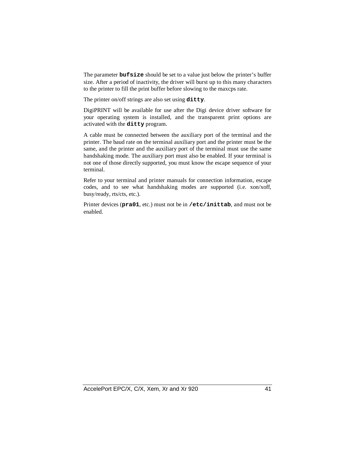The parameter **bufsize** should be set to a value just below the printer's buffer size. After a period of inactivity, the driver will burst up to this many characters to the printer to fill the print buffer before slowing to the maxcps rate.

The printer on/off strings are also set using **ditty**.

DigiPRINT will be available for use after the Digi device driver software for your operating system is installed, and the transparent print options are activated with the **ditty** program.

A cable must be connected between the auxiliary port of the terminal and the printer. The baud rate on the terminal auxiliary port and the printer must be the same, and the printer and the auxiliary port of the terminal must use the same handshaking mode. The auxiliary port must also be enabled. If your terminal is not one of those directly supported, you must know the escape sequence of your terminal.

Refer to your terminal and printer manuals for connection information, escape codes, and to see what handshaking modes are supported (i.e. xon/xoff, busy/ready, rts/cts, etc.).

Printer devices (**pra01**, etc.) must not be in **/etc/inittab**, and must not be enabled.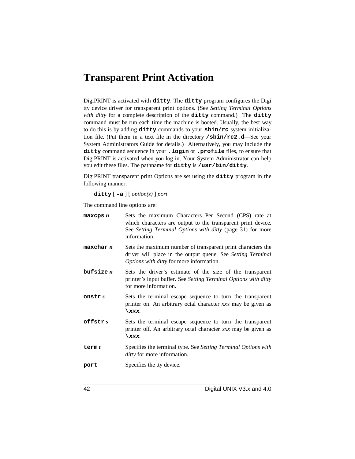### **Transparent Print Activation**

DigiPRINT is activated with **ditty**. The **ditty** program configures the Digi tty device driver for transparent print options. (See *Setting Terminal Options with ditty* for a complete description of the **ditty** command.) The **ditty** command must be run each time the machine is booted. Usually, the best way to do this is by adding **ditty** commands to your **sbin/rc** system initialization file. (Put them in a text file in the directory **/sbin/rc2.d**—See your System Administrators Guide for details.) Alternatively, you may include the **ditty** command sequence in your **.login** or **.profile** files, to ensure that DigiPRINT is activated when you log in. Your System Administrator can help you edit these files. The pathname for **ditty** is **/usr/bin/ditty**.

DigiPRINT transparent print Options are set using the **ditty** program in the following manner:

**ditty** [ **-a** ] [ *option(s)* ] *port*

The command line options are:

| $max$ cps $n$ | Sets the maximum Characters Per Second (CPS) rate at<br>which characters are output to the transparent print device.<br>See Setting Terminal Options with ditty (page 31) for more<br>information. |
|---------------|----------------------------------------------------------------------------------------------------------------------------------------------------------------------------------------------------|
| maxchar n     | Sets the maximum number of transparent print characters the<br>driver will place in the output queue. See Setting Terminal<br>Options with ditty for more information.                             |
| but size n    | Sets the driver's estimate of the size of the transparent<br>printer's input buffer. See Setting Terminal Options with ditty<br>for more information.                                              |
| onstr s       | Sets the terminal escape sequence to turn the transparent<br>printer on. An arbitrary octal character xxx may be given as<br>$\chi$ xxx.                                                           |
| offstrs       | Sets the terminal escape sequence to turn the transparent<br>printer off. An arbitrary octal character xxx may be given as<br>\xxx.                                                                |
| term $t$      | Specifies the terminal type. See Setting Terminal Options with<br><i>ditty</i> for more information.                                                                                               |
| port          | Specifies the tty device.                                                                                                                                                                          |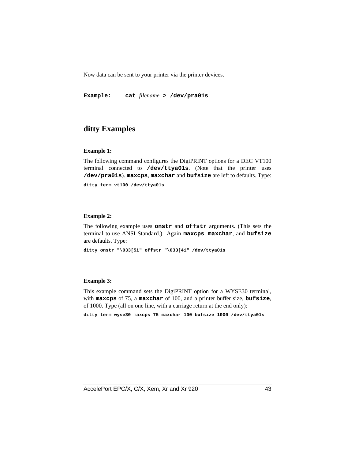Now data can be sent to your printer via the printer devices.

**Example: cat** *filename* **> /dev/pra01s**

#### **ditty Examples**

#### **Example 1:**

The following command configures the DigiPRINT options for a DEC VT100 terminal connected to **/dev/ttya01s**. (Note that the printer uses **/dev/pra01s**). **maxcps**, **maxchar** and **bufsize** are left to defaults. Type:

**ditty term vt100 /dev/ttya01s**

#### **Example 2:**

The following example uses **onstr** and **offstr** arguments. (This sets the terminal to use ANSI Standard.) Again **maxcps**, **maxchar**, and **bufsize** are defaults. Type:

**ditty onstr "\033[5i" offstr "\033[4i" /dev/ttya01s**

#### **Example 3:**

This example command sets the DigiPRINT option for a WYSE30 terminal, with **maxcps** of 75, a **maxchar** of 100, and a printer buffer size, **bufsize**, of 1000. Type (all on one line, with a carriage return at the end only):

**ditty term wyse30 maxcps 75 maxchar 100 bufsize 1000 /dev/ttya01s**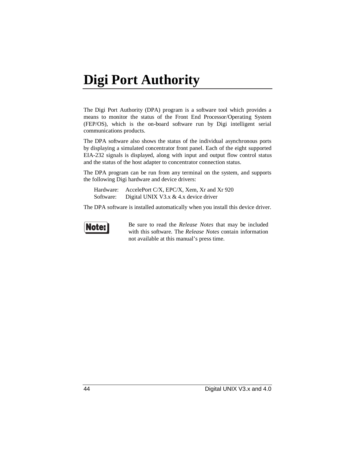# **Digi Port Authority**

The Digi Port Authority (DPA) program is a software tool which provides a means to monitor the status of the Front End Processor/Operating System (FEP/OS), which is the on-board software run by Digi intelligent serial communications products.

The DPA software also shows the status of the individual asynchronous ports by displaying a simulated concentrator front panel. Each of the eight supported EIA-232 signals is displayed, along with input and output flow control status and the status of the host adapter to concentrator connection status.

The DPA program can be run from any terminal on the system, and supports the following Digi hardware and device drivers:

|           | Hardware: AccelePort C/X, EPC/X, Xem, Xr and Xr 920 |
|-----------|-----------------------------------------------------|
| Software: | Digital UNIX V3.x $& 4.x$ device driver             |

The DPA software is installed automatically when you install this device driver.



Be sure to read the *Release Notes* that may be included with this software. The *Release Notes* contain information not available at this manual's press time.